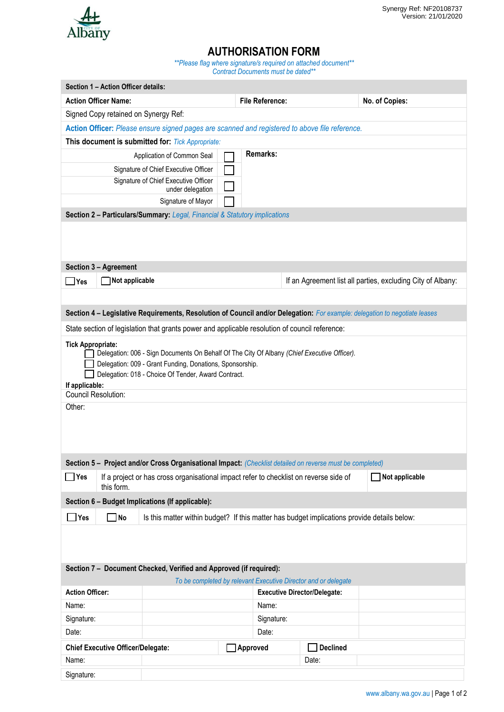

## **AUTHORISATION FORM**

*\*\*Please flag where signature/s required on attached document\*\* Contract Documents must be dated\*\**

|                                                                                                                                                                                                                                                                                               | Section 1 - Action Officer details:                                                                                                                                                                                                |                                                                                                |          |                                     |                                                                |                                                             |  |  |  |
|-----------------------------------------------------------------------------------------------------------------------------------------------------------------------------------------------------------------------------------------------------------------------------------------------|------------------------------------------------------------------------------------------------------------------------------------------------------------------------------------------------------------------------------------|------------------------------------------------------------------------------------------------|----------|-------------------------------------|----------------------------------------------------------------|-------------------------------------------------------------|--|--|--|
|                                                                                                                                                                                                                                                                                               | <b>Action Officer Name:</b>                                                                                                                                                                                                        |                                                                                                |          | <b>File Reference:</b>              |                                                                | No. of Copies:                                              |  |  |  |
| Signed Copy retained on Synergy Ref:                                                                                                                                                                                                                                                          |                                                                                                                                                                                                                                    |                                                                                                |          |                                     |                                                                |                                                             |  |  |  |
| Action Officer: Please ensure signed pages are scanned and registered to above file reference.                                                                                                                                                                                                |                                                                                                                                                                                                                                    |                                                                                                |          |                                     |                                                                |                                                             |  |  |  |
| This document is submitted for: Tick Appropriate:                                                                                                                                                                                                                                             |                                                                                                                                                                                                                                    |                                                                                                |          |                                     |                                                                |                                                             |  |  |  |
|                                                                                                                                                                                                                                                                                               |                                                                                                                                                                                                                                    | Application of Common Seal                                                                     |          | <b>Remarks:</b>                     |                                                                |                                                             |  |  |  |
|                                                                                                                                                                                                                                                                                               |                                                                                                                                                                                                                                    | Signature of Chief Executive Officer                                                           |          |                                     |                                                                |                                                             |  |  |  |
| Signature of Chief Executive Officer<br>under delegation                                                                                                                                                                                                                                      |                                                                                                                                                                                                                                    |                                                                                                |          |                                     |                                                                |                                                             |  |  |  |
|                                                                                                                                                                                                                                                                                               |                                                                                                                                                                                                                                    | Signature of Mayor                                                                             |          |                                     |                                                                |                                                             |  |  |  |
| Section 2 - Particulars/Summary: Legal, Financial & Statutory implications                                                                                                                                                                                                                    |                                                                                                                                                                                                                                    |                                                                                                |          |                                     |                                                                |                                                             |  |  |  |
|                                                                                                                                                                                                                                                                                               | Section 3 - Agreement                                                                                                                                                                                                              |                                                                                                |          |                                     |                                                                |                                                             |  |  |  |
| $\Box$ Yes                                                                                                                                                                                                                                                                                    | Not applicable                                                                                                                                                                                                                     |                                                                                                |          |                                     |                                                                | If an Agreement list all parties, excluding City of Albany: |  |  |  |
| Section 4 - Legislative Requirements, Resolution of Council and/or Delegation: For example: delegation to negotiate leases                                                                                                                                                                    |                                                                                                                                                                                                                                    |                                                                                                |          |                                     |                                                                |                                                             |  |  |  |
|                                                                                                                                                                                                                                                                                               |                                                                                                                                                                                                                                    | State section of legislation that grants power and applicable resolution of council reference: |          |                                     |                                                                |                                                             |  |  |  |
| <b>Tick Appropriate:</b><br>Delegation: 006 - Sign Documents On Behalf Of The City Of Albany (Chief Executive Officer).<br>Delegation: 009 - Grant Funding, Donations, Sponsorship.<br>Delegation: 018 - Choice Of Tender, Award Contract.<br>If applicable:<br>Council Resolution:<br>Other: |                                                                                                                                                                                                                                    |                                                                                                |          |                                     |                                                                |                                                             |  |  |  |
|                                                                                                                                                                                                                                                                                               |                                                                                                                                                                                                                                    |                                                                                                |          |                                     |                                                                |                                                             |  |  |  |
| $\Box$ Yes                                                                                                                                                                                                                                                                                    | Section 5 - Project and/or Cross Organisational Impact: (Checklist detailed on reverse must be completed)<br>Not applicable<br>If a project or has cross organisational impact refer to checklist on reverse side of<br>this form. |                                                                                                |          |                                     |                                                                |                                                             |  |  |  |
| Section 6 - Budget Implications (If applicable):                                                                                                                                                                                                                                              |                                                                                                                                                                                                                                    |                                                                                                |          |                                     |                                                                |                                                             |  |  |  |
| $\blacksquare$ Yes                                                                                                                                                                                                                                                                            | $\Box$ No                                                                                                                                                                                                                          | Is this matter within budget? If this matter has budget implications provide details below:    |          |                                     |                                                                |                                                             |  |  |  |
| Section 7 - Document Checked, Verified and Approved (if required):                                                                                                                                                                                                                            |                                                                                                                                                                                                                                    |                                                                                                |          |                                     |                                                                |                                                             |  |  |  |
|                                                                                                                                                                                                                                                                                               |                                                                                                                                                                                                                                    |                                                                                                |          |                                     | To be completed by relevant Executive Director and or delegate |                                                             |  |  |  |
| <b>Action Officer:</b>                                                                                                                                                                                                                                                                        |                                                                                                                                                                                                                                    |                                                                                                |          | <b>Executive Director/Delegate:</b> |                                                                |                                                             |  |  |  |
| Name:                                                                                                                                                                                                                                                                                         |                                                                                                                                                                                                                                    |                                                                                                |          | Name:                               |                                                                |                                                             |  |  |  |
| Signature:                                                                                                                                                                                                                                                                                    |                                                                                                                                                                                                                                    |                                                                                                |          | Signature:                          |                                                                |                                                             |  |  |  |
| Date:                                                                                                                                                                                                                                                                                         |                                                                                                                                                                                                                                    |                                                                                                |          | Date:                               |                                                                |                                                             |  |  |  |
| <b>Chief Executive Officer/Delegate:</b>                                                                                                                                                                                                                                                      |                                                                                                                                                                                                                                    |                                                                                                | Approved |                                     | <b>Declined</b>                                                |                                                             |  |  |  |
| Name:                                                                                                                                                                                                                                                                                         |                                                                                                                                                                                                                                    |                                                                                                |          |                                     | Date:                                                          |                                                             |  |  |  |
| Signature:                                                                                                                                                                                                                                                                                    |                                                                                                                                                                                                                                    |                                                                                                |          |                                     |                                                                |                                                             |  |  |  |